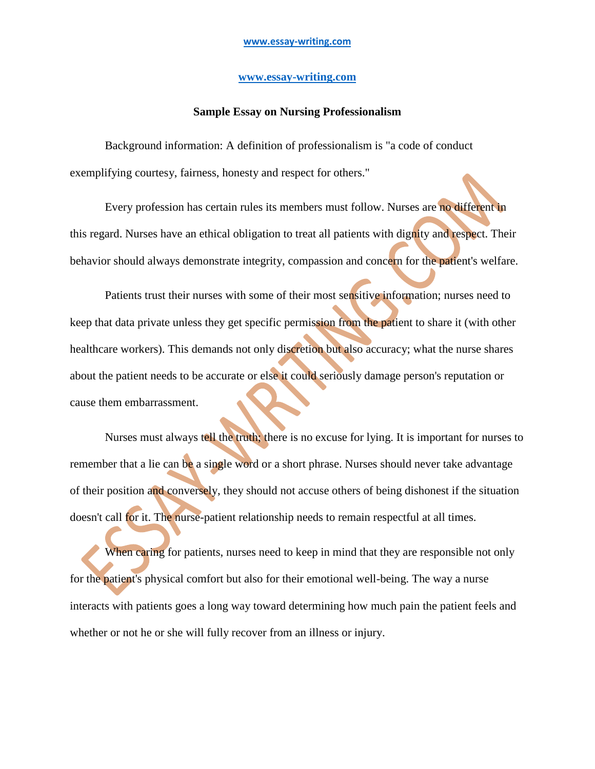## **[www.essay-writing.com](http://www.essay-writing.com/)**

## **Sample Essay on Nursing Professionalism**

Background information: A definition of professionalism is "a code of conduct exemplifying courtesy, fairness, honesty and respect for others."

Every profession has certain rules its members must follow. Nurses are no different in this regard. Nurses have an ethical obligation to treat all patients with dignity and respect. Their behavior should always demonstrate integrity, compassion and concern for the patient's welfare.

Patients trust their nurses with some of their most sensitive information; nurses need to keep that data private unless they get specific permission from the patient to share it (with other healthcare workers). This demands not only discretion but also accuracy; what the nurse shares about the patient needs to be accurate or else it could seriously damage person's reputation or cause them embarrassment.

Nurses must always tell the truth; there is no excuse for lying. It is important for nurses to remember that a lie can be a single word or a short phrase. Nurses should never take advantage of their position and conversely, they should not accuse others of being dishonest if the situation doesn't call for it. The nurse-patient relationship needs to remain respectful at all times.

When caring for patients, nurses need to keep in mind that they are responsible not only for the patient's physical comfort but also for their emotional well-being. The way a nurse interacts with patients goes a long way toward determining how much pain the patient feels and whether or not he or she will fully recover from an illness or injury.